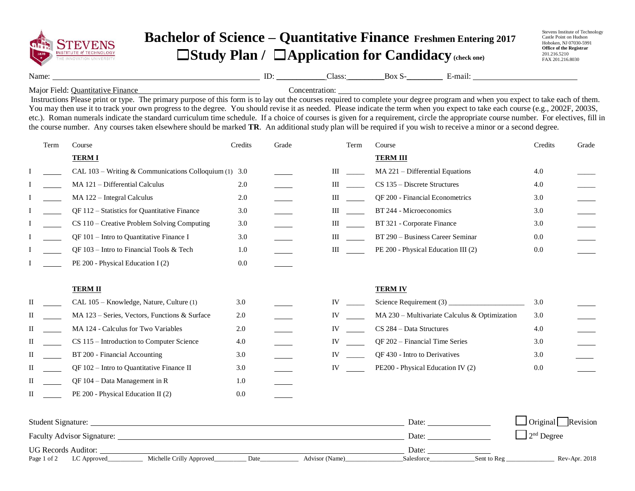

## **Bachelor of Science – Quantitative Finance Freshmen Entering 2017** ☐**Study Plan /** ☐**Application for Candidacy (check one)**

Stevens Institute of Technology Castle Point on Hudson Hoboken, NJ 07030-5991 **Office of the Registrar** 201.216.5210 FAX 201.216.8030

Name: No. 2018 Class: Box S- Box S- E-mail:

Major Field: Quantitative Finance Concentration: Concentration:

Instructions Please print or type. The primary purpose of this form is to lay out the courses required to complete your degree program and when you expect to take each of them. You may then use it to track your own progress to the degree. You should revise it as needed. Please indicate the term when you expect to take each course (e.g., 2002F, 2003S, etc.). Roman numerals indicate the standard curriculum time schedule. If a choice of courses is given for a requirement, circle the appropriate course number. For electives, fill in the course number. Any courses taken elsewhere should be marked **TR**. An additional study plan will be required if you wish to receive a minor or a second degree.

|   | Term | Course                                                  | Credits | Grade | Term<br>Course |                                                 | Credits | Grade |
|---|------|---------------------------------------------------------|---------|-------|----------------|-------------------------------------------------|---------|-------|
|   |      | <b>TERMI</b>                                            |         |       |                | <b>TERM III</b>                                 |         |       |
|   |      | CAL $103$ – Writing & Communications Colloquium (1) 3.0 |         |       | Ш              | MA 221 - Differential Equations                 | 4.0     |       |
|   |      | MA 121 - Differential Calculus                          | 2.0     |       | Ш              | CS 135 – Discrete Structures                    | 4.0     |       |
|   |      | MA 122 - Integral Calculus                              | 2.0     |       | Ш              | QF 200 - Financial Econometrics                 | 3.0     |       |
|   |      | QF 112 - Statistics for Quantitative Finance            | 3.0     |       | Ш              | BT 244 - Microeconomics                         | 3.0     |       |
|   |      | CS 110 – Creative Problem Solving Computing             | 3.0     |       | Ш              | BT 321 - Corporate Finance                      | 3.0     |       |
|   |      | QF 101 - Intro to Quantitative Finance I                | 3.0     |       | Ш              | BT 290 - Business Career Seminar                | 0.0     |       |
|   |      | QF $103$ – Intro to Financial Tools & Tech              | 1.0     |       | Ш              | PE 200 - Physical Education III (2)             | 0.0     |       |
|   |      | PE 200 - Physical Education I (2)                       | 0.0     |       |                |                                                 |         |       |
|   |      | <b>TERM II</b>                                          |         |       |                | <b>TERM IV</b>                                  |         |       |
| П |      | CAL 105 – Knowledge, Nature, Culture (1)                | 3.0     |       | IV             |                                                 | 3.0     |       |
| П |      | MA $123$ – Series, Vectors, Functions & Surface         | 2.0     |       | IV             | $MA 230 - Multivariate Calculus & Optimization$ | 3.0     |       |
| П |      | MA 124 - Calculus for Two Variables                     | 2.0     |       | IV             | CS 284 - Data Structures                        | 4.0     |       |
| П |      | CS 115 - Introduction to Computer Science               | 4.0     |       | IV             | QF 202 - Financial Time Series                  | 3.0     |       |
| П |      | BT 200 - Financial Accounting                           | 3.0     |       | IV             | QF 430 - Intro to Derivatives                   | 3.0     |       |
| П |      | QF 102 – Intro to Quantitative Finance II               | 3.0     |       | IV             | PE200 - Physical Education IV (2)               | 0.0     |       |
| П |      | QF 104 - Data Management in R                           | 1.0     |       |                |                                                 |         |       |
| П |      | PE 200 - Physical Education II (2)                      | 0.0     |       |                |                                                 |         |       |
|   |      |                                                         |         |       |                |                                                 |         |       |

| <b>Student Signature:</b>         |                          |      |                | Date:      |             | $\Box$ Original Revision       |
|-----------------------------------|--------------------------|------|----------------|------------|-------------|--------------------------------|
| <b>Faculty Advisor Signature:</b> |                          |      |                | Date:      |             | $\vert$ 2 <sup>nd</sup> Degree |
| <b>UG Records Auditor:</b>        |                          |      |                | Date:      |             |                                |
| Page 1 of 2<br>LC Approved        | Michelle Crilly Approved | Date | Advisor (Name) | Salesforce | Sent to Reg | Rev-Apr. 2018                  |